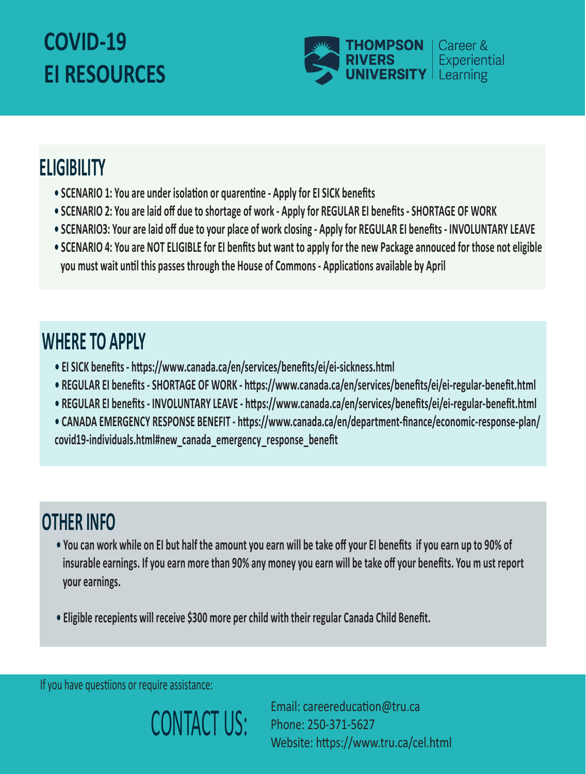## **COVID-19 EI RESOURCES**



## **ELIGIBILITY**

- **SCENARIO 1: You are under isolation or quarentine Apply for EI SICK benefits**
- **• SCENARIO 2: You are laid off due to shortage of work Apply for REGULAR EI benefits SHORTAGE OF WORK**
- **SCENARIO3: Your are laid off due to your place of work closing Apply for REGULAR EI benefits INVOLUNTARY LEAVE**
- **SCENARIO 4: You are NOT ELIGIBLE for EI benfits but want to apply for the new Package annouced for those not eligible** you must wait until this passes through the House of Commons - Applications available by April

## **WHERE TO APPLY**

- EI SICK benefits https://www.canada.ca/en/services/benefits/ei/ei-sickness.html
- REGULAR EI benefits SHORTAGE OF WORK https://www.canada.ca/en/services/benefits/ei/ei-regular-benefit.html
- **REGULAR EI benefits INVOLUNTARY LEAVE h�ps://www.canada.ca/en/services/benefits/ei/ei-regular-benefit.html**
- CANADA EMERGENCY RESPONSE BENEFIT https://www.canada.ca/en/department-finance/economic-response-plan/ **covid19-individuals.html#new\_canada\_emergency\_response\_benefit**

## **OTHER INFO**

- **You can work while on EI but half the amount you earn will be take off your EI benefits if you earn up to 90% of insurable earnings. If you earn more than 90% any money you earn will be take off your benefits. You m ust report your earnings.**
- **Eligible recepients will receive \$300 more per child with their regular Canada Child Benefit.**

If you have questiions or require assistance:



Email: careereducation@tru.ca Phone: 250-371-5627 Website: https://www.tru.ca/cel.html